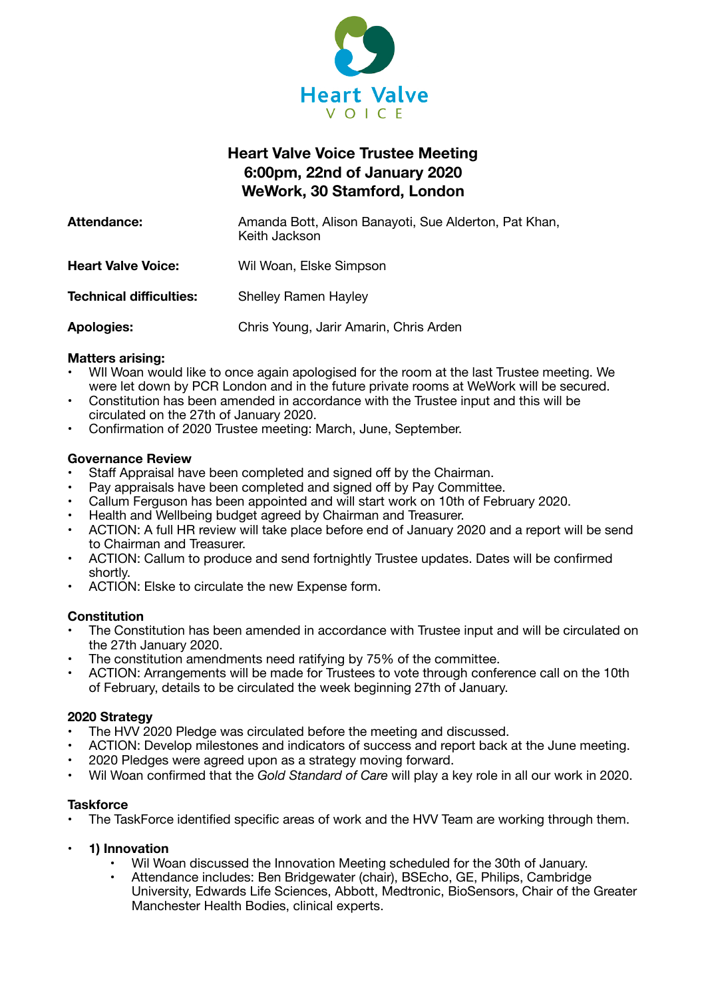

# **Heart Valve Voice Trustee Meeting 6:00pm, 22nd of January 2020 WeWork, 30 Stamford, London**

| Attendance:                    | Amanda Bott, Alison Banayoti, Sue Alderton, Pat Khan,<br>Keith Jackson |
|--------------------------------|------------------------------------------------------------------------|
| <b>Heart Valve Voice:</b>      | Wil Woan, Elske Simpson                                                |
| <b>Technical difficulties:</b> | <b>Shelley Ramen Hayley</b>                                            |
| <b>Apologies:</b>              | Chris Young, Jarir Amarin, Chris Arden                                 |

# **Matters arising:**

- WIl Woan would like to once again apologised for the room at the last Trustee meeting. We were let down by PCR London and in the future private rooms at WeWork will be secured.
- Constitution has been amended in accordance with the Trustee input and this will be circulated on the 27th of January 2020.
- Confirmation of 2020 Trustee meeting: March, June, September.

# **Governance Review**

- Staff Appraisal have been completed and signed off by the Chairman.
- Pay appraisals have been completed and signed off by Pay Committee.
- Callum Ferguson has been appointed and will start work on 10th of February 2020.
- Health and Wellbeing budget agreed by Chairman and Treasurer.
- ACTION: A full HR review will take place before end of January 2020 and a report will be send to Chairman and Treasurer.
- ACTION: Callum to produce and send fortnightly Trustee updates. Dates will be confirmed shortly.
- ACTION: Elske to circulate the new Expense form.

# **Constitution**

- The Constitution has been amended in accordance with Trustee input and will be circulated on the 27th January 2020.
- The constitution amendments need ratifying by 75% of the committee.
- ACTION: Arrangements will be made for Trustees to vote through conference call on the 10th of February, details to be circulated the week beginning 27th of January.

# **2020 Strategy**

- The HVV 2020 Pledge was circulated before the meeting and discussed.
- ACTION: Develop milestones and indicators of success and report back at the June meeting.
- 2020 Pledges were agreed upon as a strategy moving forward.
- Wil Woan confirmed that the *Gold Standard of Care* will play a key role in all our work in 2020.

# **Taskforce**

- The TaskForce identified specific areas of work and the HVV Team are working through them.
- **• 1) Innovation** 
	- Wil Woan discussed the Innovation Meeting scheduled for the 30th of January.
	- Attendance includes: Ben Bridgewater (chair), BSEcho, GE, Philips, Cambridge University, Edwards Life Sciences, Abbott, Medtronic, BioSensors, Chair of the Greater Manchester Health Bodies, clinical experts.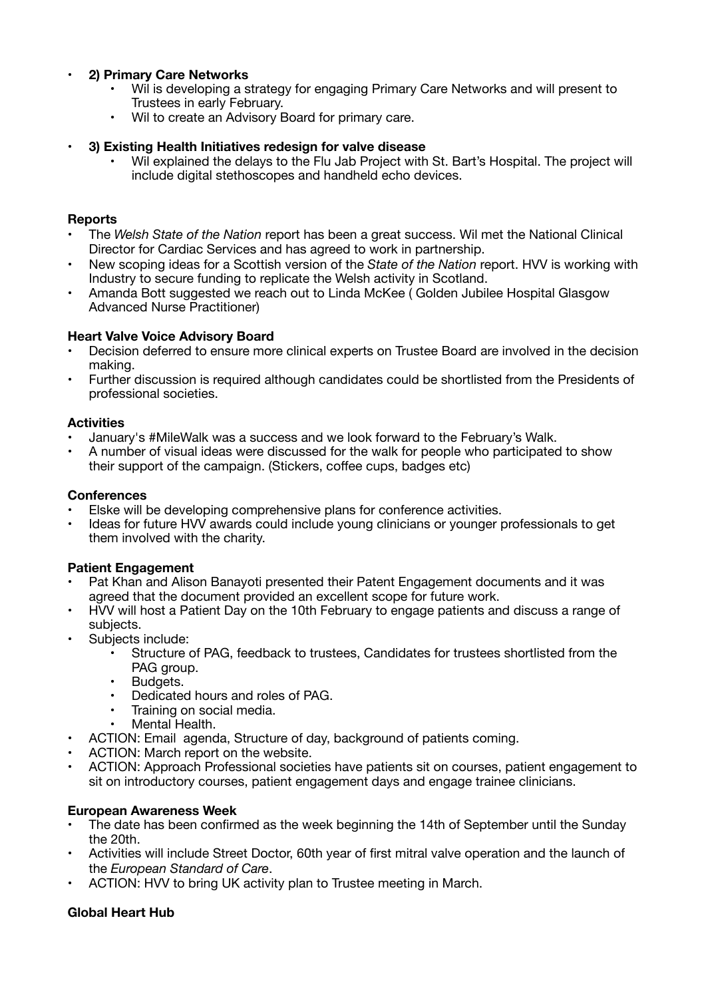# **• 2) Primary Care Networks**

- Wil is developing a strategy for engaging Primary Care Networks and will present to Trustees in early February.
- Wil to create an Advisory Board for primary care.

# **• 3) Existing Health Initiatives redesign for valve disease**

• Wil explained the delays to the Flu Jab Project with St. Bart's Hospital. The project will include digital stethoscopes and handheld echo devices.

#### **Reports**

- The *Welsh State of the Nation* report has been a great success. Wil met the National Clinical Director for Cardiac Services and has agreed to work in partnership.
- New scoping ideas for a Scottish version of the *State of the Nation* report. HVV is working with Industry to secure funding to replicate the Welsh activity in Scotland.
- Amanda Bott suggested we reach out to Linda McKee ( Golden Jubilee Hospital Glasgow Advanced Nurse Practitioner)

#### **Heart Valve Voice Advisory Board**

- Decision deferred to ensure more clinical experts on Trustee Board are involved in the decision making.
- Further discussion is required although candidates could be shortlisted from the Presidents of professional societies.

#### **Activities**

- January's #MileWalk was a success and we look forward to the February's Walk.
- A number of visual ideas were discussed for the walk for people who participated to show their support of the campaign. (Stickers, coffee cups, badges etc)

#### **Conferences**

- Elske will be developing comprehensive plans for conference activities.
- Ideas for future HVV awards could include young clinicians or younger professionals to get them involved with the charity.

#### **Patient Engagement**

- Pat Khan and Alison Banayoti presented their Patent Engagement documents and it was agreed that the document provided an excellent scope for future work.
- HVV will host a Patient Day on the 10th February to engage patients and discuss a range of subjects.
- Subjects include:
	- Structure of PAG, feedback to trustees, Candidates for trustees shortlisted from the PAG group.
	- Budgets.
	- Dedicated hours and roles of PAG.
	- Training on social media.
	- Mental Health.
- ACTION: Email agenda, Structure of day, background of patients coming.
- ACTION: March report on the website.
- ACTION: Approach Professional societies have patients sit on courses, patient engagement to sit on introductory courses, patient engagement days and engage trainee clinicians.

#### **European Awareness Week**

- The date has been confirmed as the week beginning the 14th of September until the Sunday the 20th.
- Activities will include Street Doctor, 60th year of first mitral valve operation and the launch of the *European Standard of Care*.
- ACTION: HVV to bring UK activity plan to Trustee meeting in March.

# **Global Heart Hub**